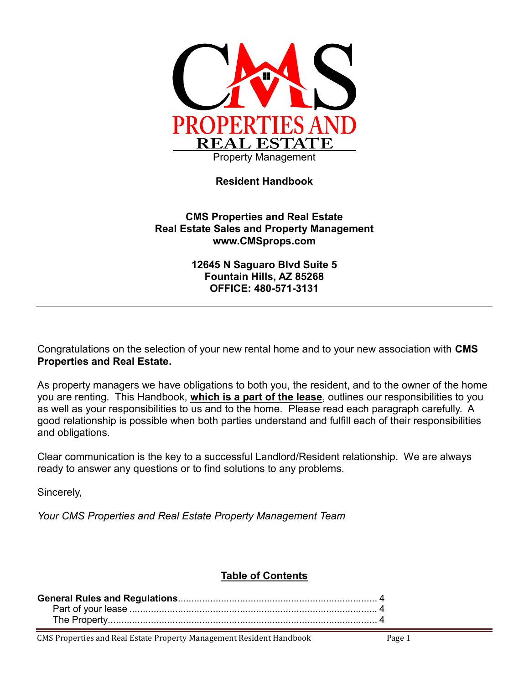

## **Resident Handbook**

#### **CMS Properties and Real Estate Real Estate Sales and Property Management www.CMSprops.com**

**12645 N Saguaro Blvd Suite 5 Fountain Hills, AZ 85268 OFFICE: 480-571-3131**

Congratulations on the selection of your new rental home and to your new association with **CMS Properties and Real Estate.**

As property managers we have obligations to both you, the resident, and to the owner of the home you are renting. This Handbook, **which is a part of the lease**, outlines our responsibilities to you as well as your responsibilities to us and to the home. Please read each paragraph carefully. A good relationship is possible when both parties understand and fulfill each of their responsibilities and obligations.

Clear communication is the key to a successful Landlord/Resident relationship. We are always ready to answer any questions or to find solutions to any problems.

Sincerely,

*Your CMS Properties and Real Estate Property Management Team*

## **Table of Contents**

CMS Properties and Real Estate Property Management Resident Handbook Page 1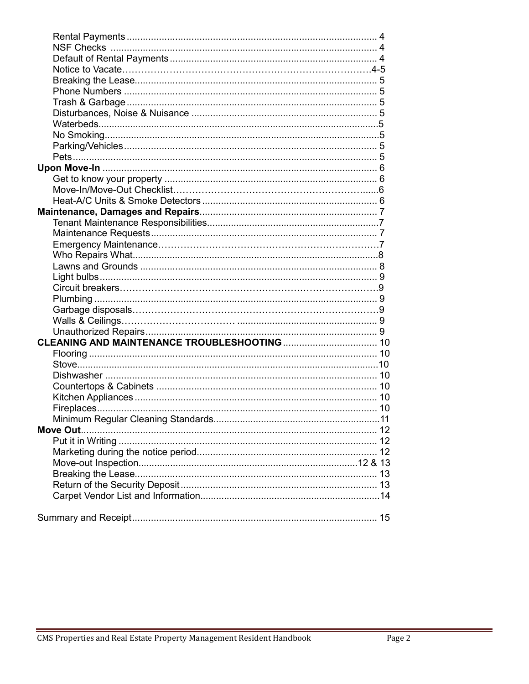È.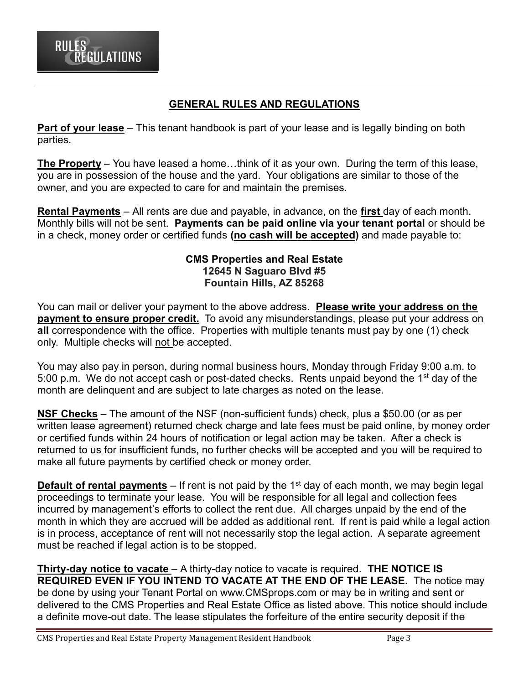## **GENERAL RULES AND REGULATIONS**

**Part of your lease** – This tenant handbook is part of your lease and is legally binding on both parties.

**The Property** – You have leased a home…think of it as your own. During the term of this lease, you are in possession of the house and the yard. Your obligations are similar to those of the owner, and you are expected to care for and maintain the premises.

**Rental Payments** – All rents are due and payable, in advance, on the **first** day of each month. Monthly bills will not be sent. **Payments can be paid online via your tenant portal** or should be in a check, money order or certified funds **(no cash will be accepted)** and made payable to:

#### **CMS Properties and Real Estate 12645 N Saguaro Blvd #5 Fountain Hills, AZ 85268**

You can mail or deliver your payment to the above address. **Please write your address on the payment to ensure proper credit.** To avoid any misunderstandings, please put your address on **all** correspondence with the office. Properties with multiple tenants must pay by one (1) check only. Multiple checks will not be accepted.

You may also pay in person, during normal business hours, Monday through Friday 9:00 a.m. to 5:00 p.m. We do not accept cash or post-dated checks. Rents unpaid beyond the  $1<sup>st</sup>$  day of the month are delinquent and are subject to late charges as noted on the lease.

**NSF Checks** – The amount of the NSF (non-sufficient funds) check, plus a \$50.00 (or as per written lease agreement) returned check charge and late fees must be paid online, by money order or certified funds within 24 hours of notification or legal action may be taken. After a check is returned to us for insufficient funds, no further checks will be accepted and you will be required to make all future payments by certified check or money order.

**Default of rental payments** – If rent is not paid by the 1<sup>st</sup> day of each month, we may begin legal proceedings to terminate your lease. You will be responsible for all legal and collection fees incurred by management's efforts to collect the rent due. All charges unpaid by the end of the month in which they are accrued will be added as additional rent. If rent is paid while a legal action is in process, acceptance of rent will not necessarily stop the legal action. A separate agreement must be reached if legal action is to be stopped.

**Thirty-day notice to vacate** – A thirty-day notice to vacate is required. **THE NOTICE IS REQUIRED EVEN IF YOU INTEND TO VACATE AT THE END OF THE LEASE.** The notice may be done by using your Tenant Portal on www.CMSprops.com or may be in writing and sent or delivered to the CMS Properties and Real Estate Office as listed above. This notice should include a definite move-out date. The lease stipulates the forfeiture of the entire security deposit if the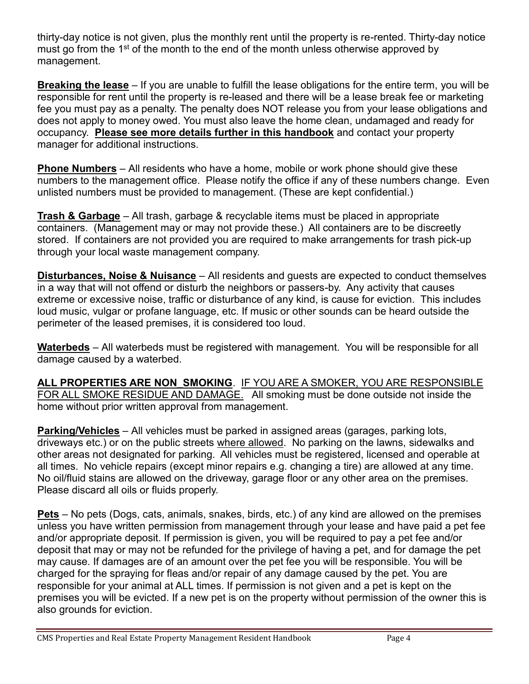thirty-day notice is not given, plus the monthly rent until the property is re-rented. Thirty-day notice must go from the 1<sup>st</sup> of the month to the end of the month unless otherwise approved by management.

**Breaking the lease** – If you are unable to fulfill the lease obligations for the entire term, you will be responsible for rent until the property is re-leased and there will be a lease break fee or marketing fee you must pay as a penalty. The penalty does NOT release you from your lease obligations and does not apply to money owed. You must also leave the home clean, undamaged and ready for occupancy. **Please see more details further in this handbook** and contact your property manager for additional instructions.

**Phone Numbers** – All residents who have a home, mobile or work phone should give these numbers to the management office. Please notify the office if any of these numbers change. Even unlisted numbers must be provided to management. (These are kept confidential.)

**Trash & Garbage** – All trash, garbage & recyclable items must be placed in appropriate containers. (Management may or may not provide these.) All containers are to be discreetly stored. If containers are not provided you are required to make arrangements for trash pick-up through your local waste management company.

**Disturbances, Noise & Nuisance** – All residents and guests are expected to conduct themselves in a way that will not offend or disturb the neighbors or passers-by. Any activity that causes extreme or excessive noise, traffic or disturbance of any kind, is cause for eviction. This includes loud music, vulgar or profane language, etc. If music or other sounds can be heard outside the perimeter of the leased premises, it is considered too loud.

**Waterbeds** – All waterbeds must be registered with management. You will be responsible for all damage caused by a waterbed.

**ALL PROPERTIES ARE NON\_SMOKING**. IF YOU ARE A SMOKER, YOU ARE RESPONSIBLE FOR ALL SMOKE RESIDUE AND DAMAGE. All smoking must be done outside not inside the home without prior written approval from management.

**Parking/Vehicles** – All vehicles must be parked in assigned areas (garages, parking lots, driveways etc.) or on the public streets where allowed. No parking on the lawns, sidewalks and other areas not designated for parking. All vehicles must be registered, licensed and operable at all times. No vehicle repairs (except minor repairs e.g. changing a tire) are allowed at any time. No oil/fluid stains are allowed on the driveway, garage floor or any other area on the premises. Please discard all oils or fluids properly.

**Pets** – No pets (Dogs, cats, animals, snakes, birds, etc.) of any kind are allowed on the premises unless you have written permission from management through your lease and have paid a pet fee and/or appropriate deposit. If permission is given, you will be required to pay a pet fee and/or deposit that may or may not be refunded for the privilege of having a pet, and for damage the pet may cause. If damages are of an amount over the pet fee you will be responsible. You will be charged for the spraying for fleas and/or repair of any damage caused by the pet. You are responsible for your animal at ALL times. If permission is not given and a pet is kept on the premises you will be evicted. If a new pet is on the property without permission of the owner this is also grounds for eviction.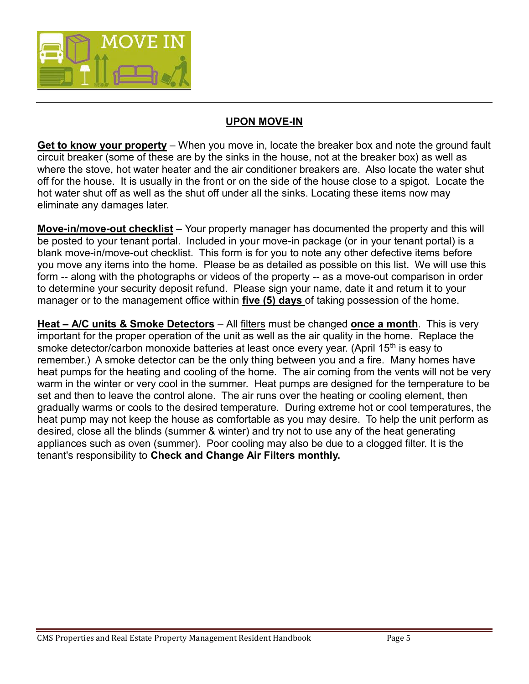

## **UPON MOVE-IN**

**Get to know your property** – When you move in, locate the breaker box and note the ground fault circuit breaker (some of these are by the sinks in the house, not at the breaker box) as well as where the stove, hot water heater and the air conditioner breakers are. Also locate the water shut off for the house. It is usually in the front or on the side of the house close to a spigot. Locate the hot water shut off as well as the shut off under all the sinks. Locating these items now may eliminate any damages later.

**Move-in/move-out checklist** – Your property manager has documented the property and this will be posted to your tenant portal. Included in your move-in package (or in your tenant portal) is a blank move-in/move-out checklist. This form is for you to note any other defective items before you move any items into the home. Please be as detailed as possible on this list. We will use this form -- along with the photographs or videos of the property -- as a move-out comparison in order to determine your security deposit refund. Please sign your name, date it and return it to your manager or to the management office within **five (5) days** of taking possession of the home.

**Heat – A/C units & Smoke Detectors** – All filters must be changed **once a month**. This is very important for the proper operation of the unit as well as the air quality in the home. Replace the smoke detector/carbon monoxide batteries at least once every year. (April 15<sup>th</sup> is easy to remember.) A smoke detector can be the only thing between you and a fire. Many homes have heat pumps for the heating and cooling of the home. The air coming from the vents will not be very warm in the winter or very cool in the summer. Heat pumps are designed for the temperature to be set and then to leave the control alone. The air runs over the heating or cooling element, then gradually warms or cools to the desired temperature. During extreme hot or cool temperatures, the heat pump may not keep the house as comfortable as you may desire. To help the unit perform as desired, close all the blinds (summer & winter) and try not to use any of the heat generating appliances such as oven (summer). Poor cooling may also be due to a clogged filter. It is the tenant's responsibility to **Check and Change Air Filters monthly.**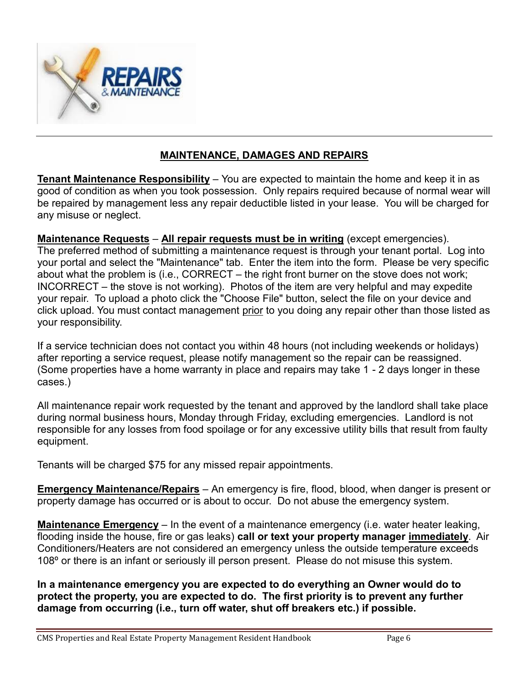

## **MAINTENANCE, DAMAGES AND REPAIRS**

**Tenant Maintenance Responsibility** – You are expected to maintain the home and keep it in as good of condition as when you took possession. Only repairs required because of normal wear will be repaired by management less any repair deductible listed in your lease. You will be charged for any misuse or neglect.

**Maintenance Requests** – **All repair requests must be in writing** (except emergencies). The preferred method of submitting a maintenance request is through your tenant portal. Log into your portal and select the "Maintenance" tab. Enter the item into the form. Please be very specific about what the problem is (i.e., CORRECT – the right front burner on the stove does not work; INCORRECT – the stove is not working). Photos of the item are very helpful and may expedite your repair. To upload a photo click the "Choose File" button, select the file on your device and click upload. You must contact management prior to you doing any repair other than those listed as your responsibility.

If a service technician does not contact you within 48 hours (not including weekends or holidays) after reporting a service request, please notify management so the repair can be reassigned. (Some properties have a home warranty in place and repairs may take 1 - 2 days longer in these cases.)

All maintenance repair work requested by the tenant and approved by the landlord shall take place during normal business hours, Monday through Friday, excluding emergencies. Landlord is not responsible for any losses from food spoilage or for any excessive utility bills that result from faulty equipment.

Tenants will be charged \$75 for any missed repair appointments.

**Emergency Maintenance/Repairs** – An emergency is fire, flood, blood, when danger is present or property damage has occurred or is about to occur. Do not abuse the emergency system.

**Maintenance Emergency** – In the event of a maintenance emergency (i.e. water heater leaking, flooding inside the house, fire or gas leaks) **call or text your property manager immediately**. Air Conditioners/Heaters are not considered an emergency unless the outside temperature exceeds 108º or there is an infant or seriously ill person present. Please do not misuse this system.

**In a maintenance emergency you are expected to do everything an Owner would do to protect the property, you are expected to do. The first priority is to prevent any further damage from occurring (i.e., turn off water, shut off breakers etc.) if possible.**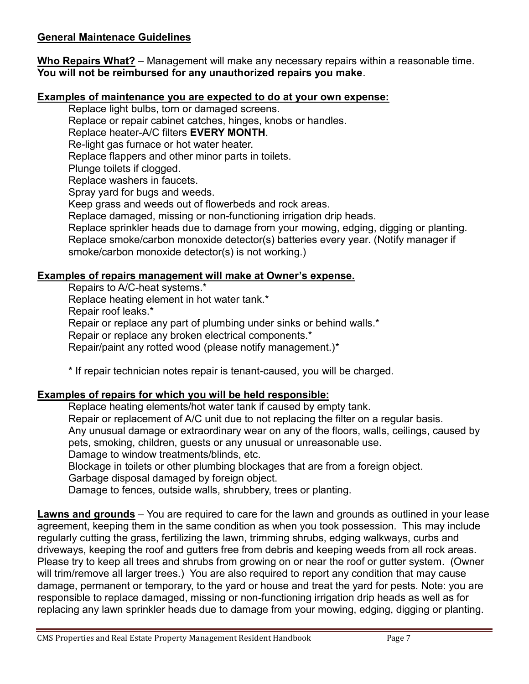## **General Maintenace Guidelines**

**Who Repairs What?** – Management will make any necessary repairs within a reasonable time. **You will not be reimbursed for any unauthorized repairs you make**.

#### **Examples of maintenance you are expected to do at your own expense:**

Replace light bulbs, torn or damaged screens.

Replace or repair cabinet catches, hinges, knobs or handles.

Replace heater-A/C filters **EVERY MONTH**.

Re-light gas furnace or hot water heater.

Replace flappers and other minor parts in toilets.

Plunge toilets if clogged.

Replace washers in faucets.

Spray yard for bugs and weeds.

Keep grass and weeds out of flowerbeds and rock areas.

Replace damaged, missing or non-functioning irrigation drip heads.

Replace sprinkler heads due to damage from your mowing, edging, digging or planting. Replace smoke/carbon monoxide detector(s) batteries every year. (Notify manager if smoke/carbon monoxide detector(s) is not working.)

#### **Examples of repairs management will make at Owner's expense.**

Repairs to A/C-heat systems.\*

Replace heating element in hot water tank.\*

Repair roof leaks.\*

Repair or replace any part of plumbing under sinks or behind walls.\*

Repair or replace any broken electrical components.\*

Repair/paint any rotted wood (please notify management.)\*

\* If repair technician notes repair is tenant-caused, you will be charged.

#### **Examples of repairs for which you will be held responsible:**

Replace heating elements/hot water tank if caused by empty tank. Repair or replacement of A/C unit due to not replacing the filter on a regular basis. Any unusual damage or extraordinary wear on any of the floors, walls, ceilings, caused by pets, smoking, children, guests or any unusual or unreasonable use. Damage to window treatments/blinds, etc. Blockage in toilets or other plumbing blockages that are from a foreign object.

Garbage disposal damaged by foreign object.

Damage to fences, outside walls, shrubbery, trees or planting.

**Lawns and grounds** – You are required to care for the lawn and grounds as outlined in your lease agreement, keeping them in the same condition as when you took possession. This may include regularly cutting the grass, fertilizing the lawn, trimming shrubs, edging walkways, curbs and driveways, keeping the roof and gutters free from debris and keeping weeds from all rock areas. Please try to keep all trees and shrubs from growing on or near the roof or gutter system. (Owner will trim/remove all larger trees.) You are also required to report any condition that may cause damage, permanent or temporary, to the yard or house and treat the yard for pests. Note: you are responsible to replace damaged, missing or non-functioning irrigation drip heads as well as for replacing any lawn sprinkler heads due to damage from your mowing, edging, digging or planting.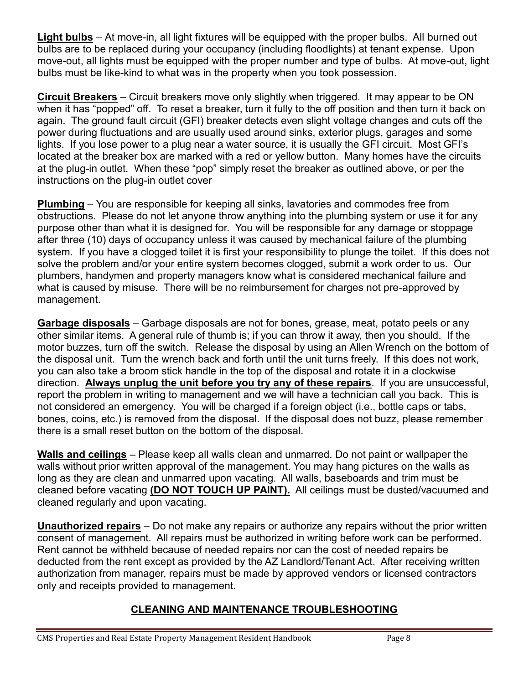**Light bulbs** – At move-in, all light fixtures will be equipped with the proper bulbs. All burned out bulbs are to be replaced during your occupancy (including floodlights) at tenant expense. Upon move-out, all lights must be equipped with the proper number and type of bulbs. At move-out, light bulbs must be like-kind to what was in the property when you took possession.

**Circuit Breakers** – Circuit breakers move only slightly when triggered. It may appear to be ON when it has "popped" off. To reset a breaker, turn it fully to the off position and then turn it back on again. The ground fault circuit (GFI) breaker detects even slight voltage changes and cuts off the power during fluctuations and are usually used around sinks, exterior plugs, garages and some lights. If you lose power to a plug near a water source, it is usually the GFI circuit. Most GFI's located at the breaker box are marked with a red or yellow button. Many homes have the circuits at the plug-in outlet. When these "pop" simply reset the breaker as outlined above, or per the instructions on the plug-in outlet cover

**Plumbing** – You are responsible for keeping all sinks, lavatories and commodes free from obstructions. Please do not let anyone throw anything into the plumbing system or use it for any purpose other than what it is designed for. You will be responsible for any damage or stoppage after three (10) days of occupancy unless it was caused by mechanical failure of the plumbing system. If you have a clogged toilet it is first your responsibility to plunge the toilet. If this does not solve the problem and/or your entire system becomes clogged, submit a work order to us. Our plumbers, handymen and property managers know what is considered mechanical failure and what is caused by misuse. There will be no reimbursement for charges not pre-approved by management.

**Garbage disposals** – Garbage disposals are not for bones, grease, meat, potato peels or any other similar items. A general rule of thumb is; if you can throw it away, then you should. If the motor buzzes, turn off the switch. Release the disposal by using an Allen Wrench on the bottom of the disposal unit. Turn the wrench back and forth until the unit turns freely. If this does not work, you can also take a broom stick handle in the top of the disposal and rotate it in a clockwise direction. **Always unplug the unit before you try any of these repairs**. If you are unsuccessful, report the problem in writing to management and we will have a technician call you back. This is not considered an emergency. You will be charged if a foreign object (i.e., bottle caps or tabs, bones, coins, etc.) is removed from the disposal. If the disposal does not buzz, please remember there is a small reset button on the bottom of the disposal.

**Walls and ceilings** – Please keep all walls clean and unmarred. Do not paint or wallpaper the walls without prior written approval of the management. You may hang pictures on the walls as long as they are clean and unmarred upon vacating. All walls, baseboards and trim must be cleaned before vacating **(DO NOT TOUCH UP PAINT).** All ceilings must be dusted/vacuumed and cleaned regularly and upon vacating.

**Unauthorized repairs** – Do not make any repairs or authorize any repairs without the prior written consent of management. All repairs must be authorized in writing before work can be performed. Rent cannot be withheld because of needed repairs nor can the cost of needed repairs be deducted from the rent except as provided by the AZ Landlord/Tenant Act. After receiving written authorization from manager, repairs must be made by approved vendors or licensed contractors only and receipts provided to management.

# **CLEANING AND MAINTENANCE TROUBLESHOOTING**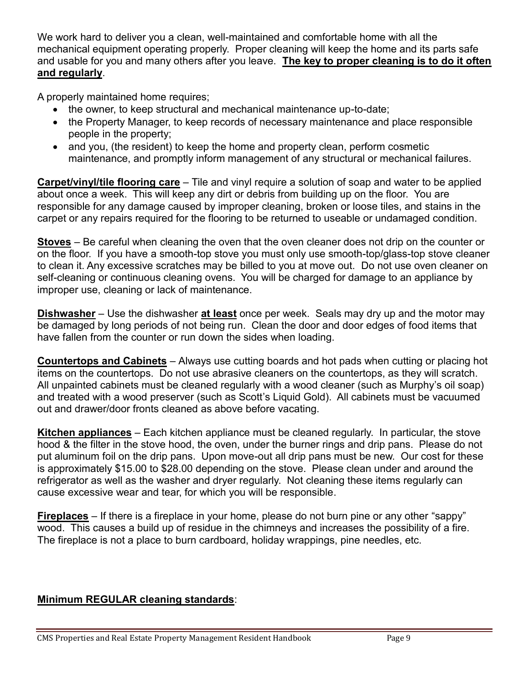We work hard to deliver you a clean, well-maintained and comfortable home with all the mechanical equipment operating properly. Proper cleaning will keep the home and its parts safe and usable for you and many others after you leave. **The key to proper cleaning is to do it often and regularly**.

A properly maintained home requires;

- the owner, to keep structural and mechanical maintenance up-to-date;
- the Property Manager, to keep records of necessary maintenance and place responsible people in the property;
- and you, (the resident) to keep the home and property clean, perform cosmetic maintenance, and promptly inform management of any structural or mechanical failures.

**Carpet/vinyl/tile flooring care** – Tile and vinyl require a solution of soap and water to be applied about once a week. This will keep any dirt or debris from building up on the floor. You are responsible for any damage caused by improper cleaning, broken or loose tiles, and stains in the carpet or any repairs required for the flooring to be returned to useable or undamaged condition.

**Stoves** – Be careful when cleaning the oven that the oven cleaner does not drip on the counter or on the floor. If you have a smooth-top stove you must only use smooth-top/glass-top stove cleaner to clean it. Any excessive scratches may be billed to you at move out. Do not use oven cleaner on self-cleaning or continuous cleaning ovens. You will be charged for damage to an appliance by improper use, cleaning or lack of maintenance.

**Dishwasher** – Use the dishwasher **at least** once per week. Seals may dry up and the motor may be damaged by long periods of not being run. Clean the door and door edges of food items that have fallen from the counter or run down the sides when loading.

**Countertops and Cabinets** – Always use cutting boards and hot pads when cutting or placing hot items on the countertops. Do not use abrasive cleaners on the countertops, as they will scratch. All unpainted cabinets must be cleaned regularly with a wood cleaner (such as Murphy's oil soap) and treated with a wood preserver (such as Scott's Liquid Gold). All cabinets must be vacuumed out and drawer/door fronts cleaned as above before vacating.

**Kitchen appliances** – Each kitchen appliance must be cleaned regularly. In particular, the stove hood & the filter in the stove hood, the oven, under the burner rings and drip pans. Please do not put aluminum foil on the drip pans. Upon move-out all drip pans must be new. Our cost for these is approximately \$15.00 to \$28.00 depending on the stove. Please clean under and around the refrigerator as well as the washer and dryer regularly. Not cleaning these items regularly can cause excessive wear and tear, for which you will be responsible.

**Fireplaces** – If there is a fireplace in your home, please do not burn pine or any other "sappy" wood. This causes a build up of residue in the chimneys and increases the possibility of a fire. The fireplace is not a place to burn cardboard, holiday wrappings, pine needles, etc.

# **Minimum REGULAR cleaning standards**: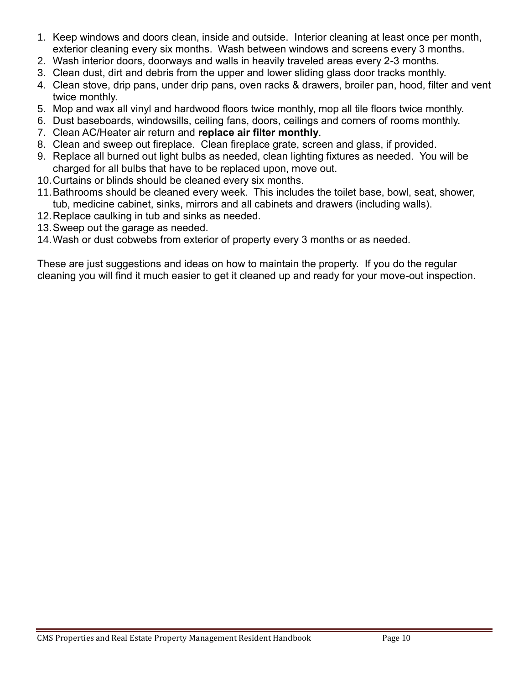- 1. Keep windows and doors clean, inside and outside. Interior cleaning at least once per month, exterior cleaning every six months. Wash between windows and screens every 3 months.
- 2. Wash interior doors, doorways and walls in heavily traveled areas every 2-3 months.
- 3. Clean dust, dirt and debris from the upper and lower sliding glass door tracks monthly.
- 4. Clean stove, drip pans, under drip pans, oven racks & drawers, broiler pan, hood, filter and vent twice monthly.
- 5. Mop and wax all vinyl and hardwood floors twice monthly, mop all tile floors twice monthly.
- 6. Dust baseboards, windowsills, ceiling fans, doors, ceilings and corners of rooms monthly.
- 7. Clean AC/Heater air return and **replace air filter monthly**.
- 8. Clean and sweep out fireplace. Clean fireplace grate, screen and glass, if provided.
- 9. Replace all burned out light bulbs as needed, clean lighting fixtures as needed. You will be charged for all bulbs that have to be replaced upon, move out.
- 10.Curtains or blinds should be cleaned every six months.
- 11.Bathrooms should be cleaned every week. This includes the toilet base, bowl, seat, shower, tub, medicine cabinet, sinks, mirrors and all cabinets and drawers (including walls).
- 12.Replace caulking in tub and sinks as needed.
- 13.Sweep out the garage as needed.
- 14.Wash or dust cobwebs from exterior of property every 3 months or as needed.

These are just suggestions and ideas on how to maintain the property. If you do the regular cleaning you will find it much easier to get it cleaned up and ready for your move-out inspection.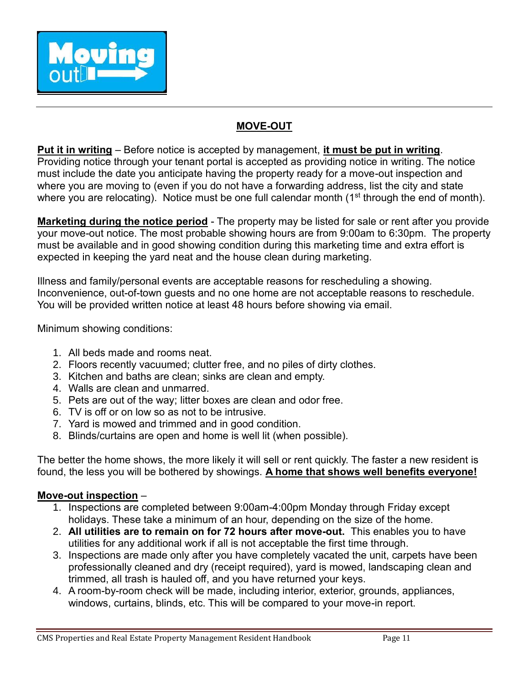

# **MOVE-OUT**

**Put it in writing** – Before notice is accepted by management, **it must be put in writing**. Providing notice through your tenant portal is accepted as providing notice in writing. The notice must include the date you anticipate having the property ready for a move-out inspection and where you are moving to (even if you do not have a forwarding address, list the city and state where you are relocating). Notice must be one full calendar month  $(1<sup>st</sup>$  through the end of month).

**Marketing during the notice period** - The property may be listed for sale or rent after you provide your move-out notice. The most probable showing hours are from 9:00am to 6:30pm. The property must be available and in good showing condition during this marketing time and extra effort is expected in keeping the yard neat and the house clean during marketing.

Illness and family/personal events are acceptable reasons for rescheduling a showing. Inconvenience, out-of-town guests and no one home are not acceptable reasons to reschedule. You will be provided written notice at least 48 hours before showing via email.

Minimum showing conditions:

- 1. All beds made and rooms neat.
- 2. Floors recently vacuumed; clutter free, and no piles of dirty clothes.
- 3. Kitchen and baths are clean; sinks are clean and empty.
- 4. Walls are clean and unmarred.
- 5. Pets are out of the way; litter boxes are clean and odor free.
- 6. TV is off or on low so as not to be intrusive.
- 7. Yard is mowed and trimmed and in good condition.
- 8. Blinds/curtains are open and home is well lit (when possible).

The better the home shows, the more likely it will sell or rent quickly. The faster a new resident is found, the less you will be bothered by showings. **A home that shows well benefits everyone!**

## **Move-out inspection** –

- 1. Inspections are completed between 9:00am-4:00pm Monday through Friday except holidays. These take a minimum of an hour, depending on the size of the home.
- 2. **All utilities are to remain on for 72 hours after move-out.** This enables you to have utilities for any additional work if all is not acceptable the first time through.
- 3. Inspections are made only after you have completely vacated the unit, carpets have been professionally cleaned and dry (receipt required), yard is mowed, landscaping clean and trimmed, all trash is hauled off, and you have returned your keys.
- 4. A room-by-room check will be made, including interior, exterior, grounds, appliances, windows, curtains, blinds, etc. This will be compared to your move-in report.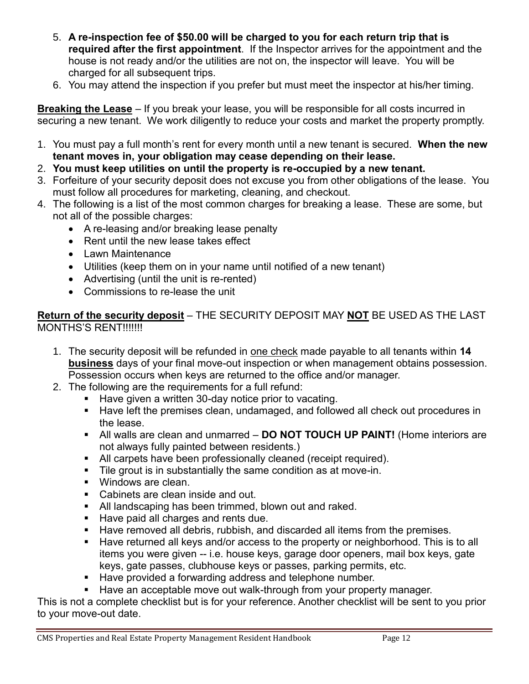- 5. **A re-inspection fee of \$50.00 will be charged to you for each return trip that is required after the first appointment**. If the Inspector arrives for the appointment and the house is not ready and/or the utilities are not on, the inspector will leave. You will be charged for all subsequent trips.
- 6. You may attend the inspection if you prefer but must meet the inspector at his/her timing.

**Breaking the Lease** – If you break your lease, you will be responsible for all costs incurred in securing a new tenant. We work diligently to reduce your costs and market the property promptly.

- 1. You must pay a full month's rent for every month until a new tenant is secured. **When the new tenant moves in, your obligation may cease depending on their lease.**
- 2. **You must keep utilities on until the property is re-occupied by a new tenant.**
- 3. Forfeiture of your security deposit does not excuse you from other obligations of the lease. You must follow all procedures for marketing, cleaning, and checkout.
- 4. The following is a list of the most common charges for breaking a lease. These are some, but not all of the possible charges:
	- A re-leasing and/or breaking lease penalty
	- Rent until the new lease takes effect
	- Lawn Maintenance
	- Utilities (keep them on in your name until notified of a new tenant)
	- Advertising (until the unit is re-rented)
	- Commissions to re-lease the unit

**Return of the security deposit** – THE SECURITY DEPOSIT MAY **NOT** BE USED AS THE LAST MONTHS'S RENT!!!!!!!

- 1. The security deposit will be refunded in one check made payable to all tenants within **14 business** days of your final move-out inspection or when management obtains possession. Possession occurs when keys are returned to the office and/or manager.
- 2. The following are the requirements for a full refund:
	- Have given a written 30-day notice prior to vacating.
	- Have left the premises clean, undamaged, and followed all check out procedures in the lease.
	- All walls are clean and unmarred **DO NOT TOUCH UP PAINT!** (Home interiors are not always fully painted between residents.)
	- **EXECT** All carpets have been professionally cleaned (receipt required).
	- Tile grout is in substantially the same condition as at move-in.
	- Windows are clean.
	- Cabinets are clean inside and out.
	- All landscaping has been trimmed, blown out and raked.
	- Have paid all charges and rents due.
	- Have removed all debris, rubbish, and discarded all items from the premises.
	- Have returned all keys and/or access to the property or neighborhood. This is to all items you were given -- i.e. house keys, garage door openers, mail box keys, gate keys, gate passes, clubhouse keys or passes, parking permits, etc.
	- Have provided a forwarding address and telephone number.
	- Have an acceptable move out walk-through from your property manager.

This is not a complete checklist but is for your reference. Another checklist will be sent to you prior to your move-out date.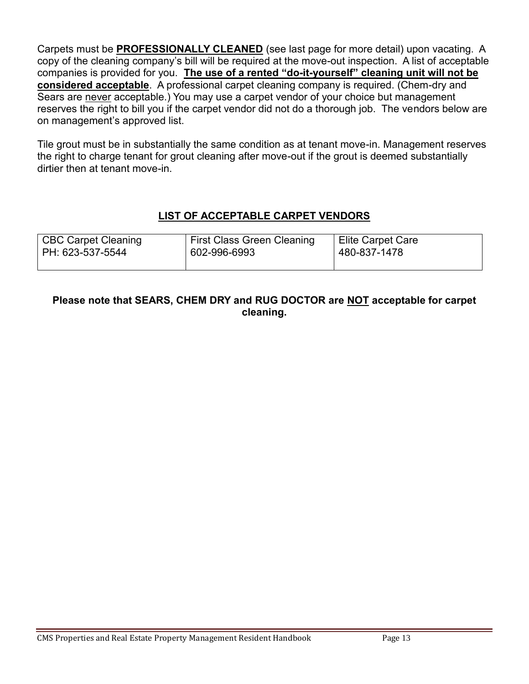Carpets must be **PROFESSIONALLY CLEANED** (see last page for more detail) upon vacating. A copy of the cleaning company's bill will be required at the move-out inspection. A list of acceptable companies is provided for you. **The use of a rented "do-it-yourself" cleaning unit will not be considered acceptable**. A professional carpet cleaning company is required. (Chem-dry and Sears are never acceptable.) You may use a carpet vendor of your choice but management reserves the right to bill you if the carpet vendor did not do a thorough job. The vendors below are on management's approved list.

Tile grout must be in substantially the same condition as at tenant move-in. Management reserves the right to charge tenant for grout cleaning after move-out if the grout is deemed substantially dirtier then at tenant move-in.

# **LIST OF ACCEPTABLE CARPET VENDORS**

| <b>First Class Green Cleaning</b><br>CBC Carpet Cleaning<br>602-996-6993<br>PH: 623-537-5544 |  | <b>Elite Carpet Care</b><br>480-837-1478 |
|----------------------------------------------------------------------------------------------|--|------------------------------------------|
|                                                                                              |  |                                          |

## **Please note that SEARS, CHEM DRY and RUG DOCTOR are NOT acceptable for carpet cleaning.**